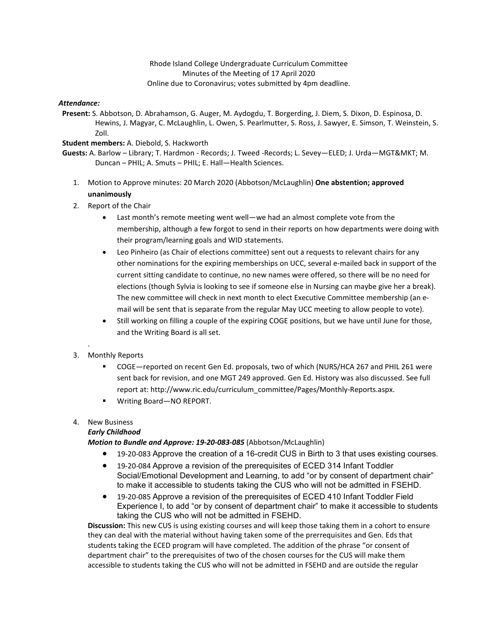# Rhode Island College Undergraduate Curriculum Committee Minutes of the Meeting of 17 April 2020 Online due to Coronavirus; votes submitted by 4pm deadline.

### *Attendance:*

**Present:** S. Abbotson, D. Abrahamson, G. Auger, M. Aydogdu, T. Borgerding, J. Diem, S. Dixon, D. Espinosa, D. Hewins, J. Magyar, C. McLaughlin, L. Owen, S. Pearlmutter, S. Ross, J. Sawyer, E. Simson, T. Weinstein, S. Zoll.

#### **Student members:** A. Diebold, S. Hackworth

- **Guests:** A. Barlow Library; T. Hardmon Records; J. Tweed -Records; L. Sevey—ELED; J. Urda—MGT&MKT; M. Duncan – PHIL; A. Smuts – PHIL; E. Hall—Health Sciences.
	- 1. Motion to Approve minutes: 20 March 2020 (Abbotson/McLaughlin) **One abstention; approved unanimously**
	- 2. Report of the Chair
		- Last month's remote meeting went well—we had an almost complete vote from the membership, although a few forgot to send in their reports on how departments were doing with their program/learning goals and WID statements.
		- Leo Pinheiro (as Chair of elections committee) sent out a requests to relevant chairs for any other nominations for the expiring memberships on UCC, several e-mailed back in support of the current sitting candidate to continue, no new names were offered, so there will be no need for elections (though Sylvia is looking to see if someone else in Nursing can maybe give her a break). The new committee will check in next month to elect Executive Committee membership (an email will be sent that is separate from the regular May UCC meeting to allow people to vote).
		- Still working on filling a couple of the expiring COGE positions, but we have until June for those, and the Writing Board is all set.

# 3. Monthly Reports

.

- COGE—reported on recent Gen Ed. proposals, two of which (NURS/HCA 267 and PHIL 261 were sent back for revision, and one MGT 249 approved. Gen Ed. History was also discussed. See full report at: http://www.ric.edu/curriculum\_committee/Pages/Monthly-Reports.aspx.
- Writing Board–NO REPORT.

# 4. New Business

# *Early Childhood*

*Motion to Bundle and Approve: 19-20-083-085* (Abbotson/McLaughlin)

- 19-20-083 Approve the creation of a 16-credit CUS in Birth to 3 that uses existing courses.
- 19-20-084 Approve a revision of the prerequisites of ECED 314 Infant Toddler Social/Emotional Development and Learning, to add "or by consent of department chair" to make it accessible to students taking the CUS who will not be admitted in FSEHD.
- 19-20-085 Approve a revision of the prerequisites of ECED 410 Infant Toddler Field Experience I, to add "or by consent of department chair" to make it accessible to students taking the CUS who will not be admitted in FSEHD.

**Discussion:** This new CUS is using existing courses and will keep those taking them in a cohort to ensure they can deal with the material without having taken some of the prerrequisites and Gen. Eds that students taking the ECED program will have completed. The addition of the phrase "or consent of department chair" to the prerequisites of two of the chosen courses for the CUS will make them accessible to students taking the CUS who will not be admitted in FSEHD and are outside the regular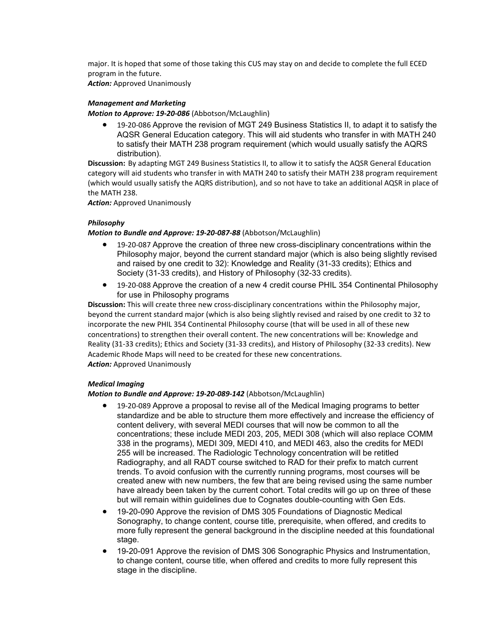major. It is hoped that some of those taking this CUS may stay on and decide to complete the full ECED program in the future.

*Action:* Approved Unanimously

## *Management and Marketing*

*Motion to Approve: 19-20-086* (Abbotson/McLaughlin)

• 19-20-086 Approve the revision of MGT 249 Business Statistics II, to adapt it to satisfy the AQSR General Education category. This will aid students who transfer in with MATH 240 to satisfy their MATH 238 program requirement (which would usually satisfy the AQRS distribution).

**Discussion:** By adapting MGT 249 Business Statistics II, to allow it to satisfy the AQSR General Education category will aid students who transfer in with MATH 240 to satisfy their MATH 238 program requirement (which would usually satisfy the AQRS distribution), and so not have to take an additional AQSR in place of the MATH 238.

*Action:* Approved Unanimously

### *Philosophy*

### *Motion to Bundle and Approve: 19-20-087-88* (Abbotson/McLaughlin)

- 19-20-087 Approve the creation of three new cross-disciplinary concentrations within the Philosophy major, beyond the current standard major (which is also being slightly revised and raised by one credit to 32): Knowledge and Reality (31-33 credits); Ethics and Society (31-33 credits), and History of Philosophy (32-33 credits).
- 19-20-088 Approve the creation of a new 4 credit course PHIL 354 Continental Philosophy for use in Philosophy programs

**Discussion:** This will create three new cross-disciplinary concentrations within the Philosophy major, beyond the current standard major (which is also being slightly revised and raised by one credit to 32 to incorporate the new PHIL 354 Continental Philosophy course (that will be used in all of these new concentrations) to strengthen their overall content. The new concentrations will be: Knowledge and Reality (31-33 credits); Ethics and Society (31-33 credits), and History of Philosophy (32-33 credits). New Academic Rhode Maps will need to be created for these new concentrations. *Action:* Approved Unanimously

# *Medical Imaging*

#### *Motion to Bundle and Approve: 19-20-089-142* (Abbotson/McLaughlin)

- 19-20-089 Approve a proposal to revise all of the Medical Imaging programs to better standardize and be able to structure them more effectively and increase the efficiency of content delivery, with several MEDI courses that will now be common to all the concentrations; these include MEDI 203, 205, MEDI 308 (which will also replace COMM 338 in the programs), MEDI 309, MEDI 410, and MEDI 463, also the credits for MEDI 255 will be increased. The Radiologic Technology concentration will be retitled Radiography, and all RADT course switched to RAD for their prefix to match current trends. To avoid confusion with the currently running programs, most courses will be created anew with new numbers, the few that are being revised using the same number have already been taken by the current cohort. Total credits will go up on three of these but will remain within guidelines due to Cognates double-counting with Gen Eds.
- 19-20-090 Approve the revision of DMS 305 Foundations of Diagnostic Medical Sonography, to change content, course title, prerequisite, when offered, and credits to more fully represent the general background in the discipline needed at this foundational stage.
- 19-20-091 Approve the revision of DMS 306 Sonographic Physics and Instrumentation, to change content, course title, when offered and credits to more fully represent this stage in the discipline.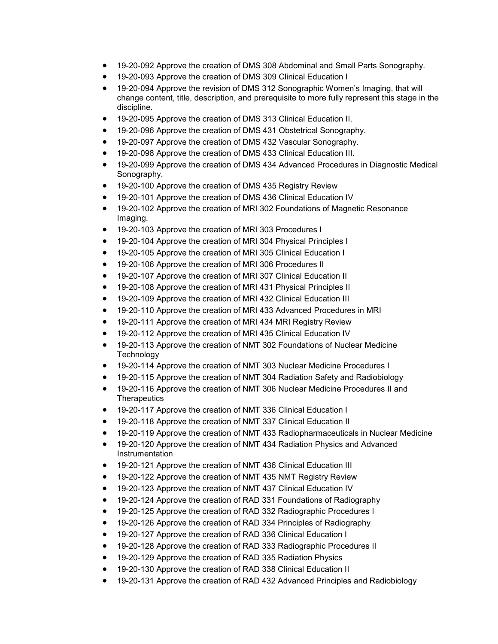- 19-20-092 Approve the creation of DMS 308 Abdominal and Small Parts Sonography.
- 19-20-093 Approve the creation of DMS 309 Clinical Education I
- 19-20-094 Approve the revision of DMS 312 Sonographic Women's Imaging, that will change content, title, description, and prerequisite to more fully represent this stage in the discipline.
- 19-20-095 Approve the creation of DMS 313 Clinical Education II.
- 19-20-096 Approve the creation of DMS 431 Obstetrical Sonography.
- 19-20-097 Approve the creation of DMS 432 Vascular Sonography.
- 19-20-098 Approve the creation of DMS 433 Clinical Education III.
- 19-20-099 Approve the creation of DMS 434 Advanced Procedures in Diagnostic Medical Sonography.
- 19-20-100 Approve the creation of DMS 435 Registry Review
- 19-20-101 Approve the creation of DMS 436 Clinical Education IV
- 19-20-102 Approve the creation of MRI 302 Foundations of Magnetic Resonance Imaging.
- 19-20-103 Approve the creation of MRI 303 Procedures I
- 19-20-104 Approve the creation of MRI 304 Physical Principles I
- 19-20-105 Approve the creation of MRI 305 Clinical Education I
- 19-20-106 Approve the creation of MRI 306 Procedures II
- 19-20-107 Approve the creation of MRI 307 Clinical Education II
- 19-20-108 Approve the creation of MRI 431 Physical Principles II
- 19-20-109 Approve the creation of MRI 432 Clinical Education III
- 19-20-110 Approve the creation of MRI 433 Advanced Procedures in MRI
- 19-20-111 Approve the creation of MRI 434 MRI Registry Review
- 19-20-112 Approve the creation of MRI 435 Clinical Education IV
- 19-20-113 Approve the creation of NMT 302 Foundations of Nuclear Medicine **Technology**
- 19-20-114 Approve the creation of NMT 303 Nuclear Medicine Procedures I
- 19-20-115 Approve the creation of NMT 304 Radiation Safety and Radiobiology
- 19-20-116 Approve the creation of NMT 306 Nuclear Medicine Procedures II and **Therapeutics**
- 19-20-117 Approve the creation of NMT 336 Clinical Education I
- 19-20-118 Approve the creation of NMT 337 Clinical Education II
- 19-20-119 Approve the creation of NMT 433 Radiopharmaceuticals in Nuclear Medicine
- 19-20-120 Approve the creation of NMT 434 Radiation Physics and Advanced **Instrumentation**
- 19-20-121 Approve the creation of NMT 436 Clinical Education III
- 19-20-122 Approve the creation of NMT 435 NMT Registry Review
- 19-20-123 Approve the creation of NMT 437 Clinical Education IV
- 19-20-124 Approve the creation of RAD 331 Foundations of Radiography
- 19-20-125 Approve the creation of RAD 332 Radiographic Procedures I
- 19-20-126 Approve the creation of RAD 334 Principles of Radiography
- 19-20-127 Approve the creation of RAD 336 Clinical Education I
- 19-20-128 Approve the creation of RAD 333 Radiographic Procedures II
- 19-20-129 Approve the creation of RAD 335 Radiation Physics
- 19-20-130 Approve the creation of RAD 338 Clinical Education II
- 19-20-131 Approve the creation of RAD 432 Advanced Principles and Radiobiology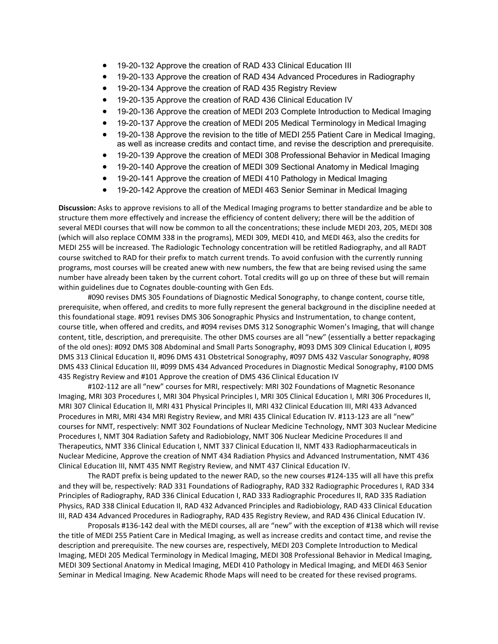- 19-20-132 Approve the creation of RAD 433 Clinical Education III
- 19-20-133 Approve the creation of RAD 434 Advanced Procedures in Radiography
- 19-20-134 Approve the creation of RAD 435 Registry Review
- 19-20-135 Approve the creation of RAD 436 Clinical Education IV
- 19-20-136 Approve the creation of MEDI 203 Complete Introduction to Medical Imaging
- 19-20-137 Approve the creation of MEDI 205 Medical Terminology in Medical Imaging
- 19-20-138 Approve the revision to the title of MEDI 255 Patient Care in Medical Imaging, as well as increase credits and contact time, and revise the description and prerequisite.
- 19-20-139 Approve the creation of MEDI 308 Professional Behavior in Medical Imaging
- 19-20-140 Approve the creation of MEDI 309 Sectional Anatomy in Medical Imaging
- 19-20-141 Approve the creation of MEDI 410 Pathology in Medical Imaging
- 19-20-142 Approve the creation of MEDI 463 Senior Seminar in Medical Imaging

**Discussion:** Asks to approve revisions to all of the Medical Imaging programs to better standardize and be able to structure them more effectively and increase the efficiency of content delivery; there will be the addition of several MEDI courses that will now be common to all the concentrations; these include MEDI 203, 205, MEDI 308 (which will also replace COMM 338 in the programs), MEDI 309, MEDI 410, and MEDI 463, also the credits for MEDI 255 will be increased. The Radiologic Technology concentration will be retitled Radiography, and all RADT course switched to RAD for their prefix to match current trends. To avoid confusion with the currently running programs, most courses will be created anew with new numbers, the few that are being revised using the same number have already been taken by the current cohort. Total credits will go up on three of these but will remain within guidelines due to Cognates double-counting with Gen Eds.

#090 revises DMS 305 Foundations of Diagnostic Medical Sonography, to change content, course title, prerequisite, when offered, and credits to more fully represent the general background in the discipline needed at this foundational stage. #091 revises DMS 306 Sonographic Physics and Instrumentation, to change content, course title, when offered and credits, and #094 revises DMS 312 Sonographic Women's Imaging, that will change content, title, description, and prerequisite. The other DMS courses are all "new" (essentially a better repackaging of the old ones): #092 DMS 308 Abdominal and Small Parts Sonography, #093 DMS 309 Clinical Education I, #095 DMS 313 Clinical Education II, #096 DMS 431 Obstetrical Sonography, #097 DMS 432 Vascular Sonography, #098 DMS 433 Clinical Education III, #099 DMS 434 Advanced Procedures in Diagnostic Medical Sonography, #100 DMS 435 Registry Review and #101 Approve the creation of DMS 436 Clinical Education IV

#102-112 are all "new" courses for MRI, respectively: MRI 302 Foundations of Magnetic Resonance Imaging, MRI 303 Procedures I, MRI 304 Physical Principles I, MRI 305 Clinical Education I, MRI 306 Procedures II, MRI 307 Clinical Education II, MRI 431 Physical Principles II, MRI 432 Clinical Education III, MRI 433 Advanced Procedures in MRI, MRI 434 MRI Registry Review, and MRI 435 Clinical Education IV. #113-123 are all "new" courses for NMT, respectively: NMT 302 Foundations of Nuclear Medicine Technology, NMT 303 Nuclear Medicine Procedures I, NMT 304 Radiation Safety and Radiobiology, NMT 306 Nuclear Medicine Procedures II and Therapeutics, NMT 336 Clinical Education I, NMT 337 Clinical Education II, NMT 433 Radiopharmaceuticals in Nuclear Medicine, Approve the creation of NMT 434 Radiation Physics and Advanced Instrumentation, NMT 436 Clinical Education III, NMT 435 NMT Registry Review, and NMT 437 Clinical Education IV.

The RADT prefix is being updated to the newer RAD, so the new courses #124-135 will all have this prefix and they will be, respectively: RAD 331 Foundations of Radiography, RAD 332 Radiographic Procedures I, RAD 334 Principles of Radiography, RAD 336 Clinical Education I, RAD 333 Radiographic Procedures II, RAD 335 Radiation Physics, RAD 338 Clinical Education II, RAD 432 Advanced Principles and Radiobiology, RAD 433 Clinical Education III, RAD 434 Advanced Procedures in Radiography, RAD 435 Registry Review, and RAD 436 Clinical Education IV.

Proposals #136-142 deal with the MEDI courses, all are "new" with the exception of #138 which will revise the title of MEDI 255 Patient Care in Medical Imaging, as well as increase credits and contact time, and revise the description and prerequisite. The new courses are, respectively, MEDI 203 Complete Introduction to Medical Imaging, MEDI 205 Medical Terminology in Medical Imaging, MEDI 308 Professional Behavior in Medical Imaging, MEDI 309 Sectional Anatomy in Medical Imaging, MEDI 410 Pathology in Medical Imaging, and MEDI 463 Senior Seminar in Medical Imaging. New Academic Rhode Maps will need to be created for these revised programs.